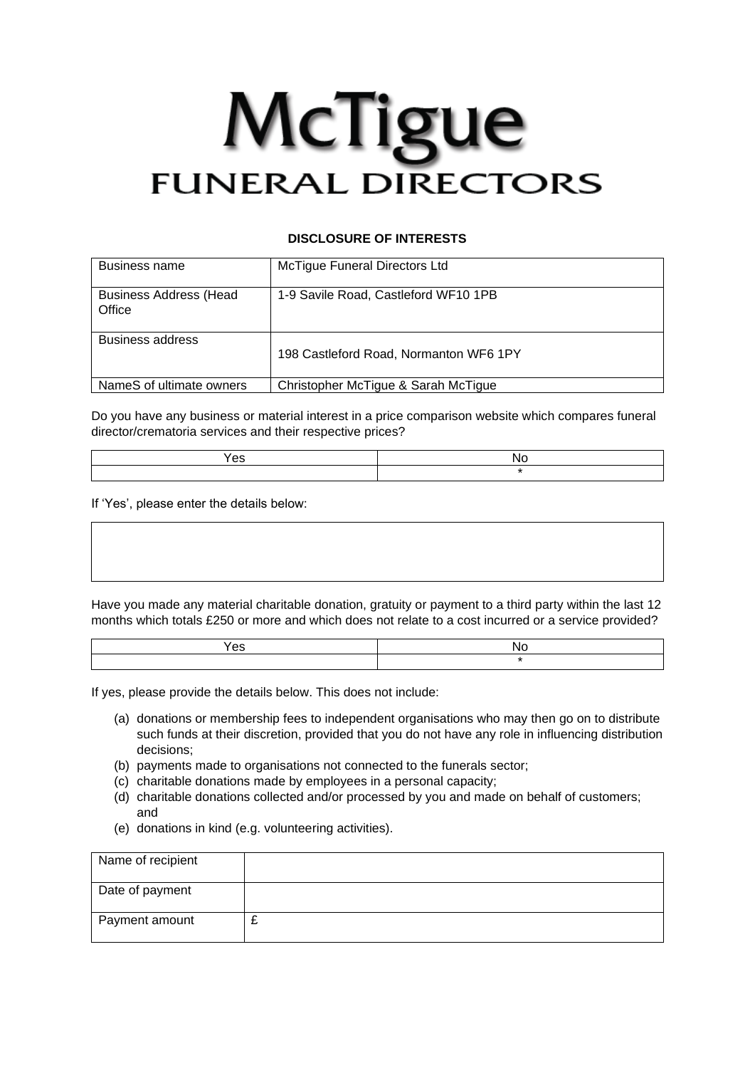## McTigue **FUNERAL DIRECTORS**

## **DISCLOSURE OF INTERESTS**

| Business name                            | McTigue Funeral Directors Ltd          |
|------------------------------------------|----------------------------------------|
| <b>Business Address (Head)</b><br>Office | 1-9 Savile Road, Castleford WF10 1PB   |
| <b>Business address</b>                  | 198 Castleford Road, Normanton WF6 1PY |
| NameS of ultimate owners                 | Christopher McTique & Sarah McTique    |

Do you have any business or material interest in a price comparison website which compares funeral director/crematoria services and their respective prices?

| es |  |
|----|--|
|    |  |

If 'Yes', please enter the details below:

Have you made any material charitable donation, gratuity or payment to a third party within the last 12 months which totals £250 or more and which does not relate to a cost incurred or a service provided?

| -- |  |
|----|--|
|    |  |

If yes, please provide the details below. This does not include:

- (a) donations or membership fees to independent organisations who may then go on to distribute such funds at their discretion, provided that you do not have any role in influencing distribution decisions;
- (b) payments made to organisations not connected to the funerals sector;
- (c) charitable donations made by employees in a personal capacity;
- (d) charitable donations collected and/or processed by you and made on behalf of customers; and
- (e) donations in kind (e.g. volunteering activities).

| Name of recipient |  |
|-------------------|--|
| Date of payment   |  |
| Payment amount    |  |